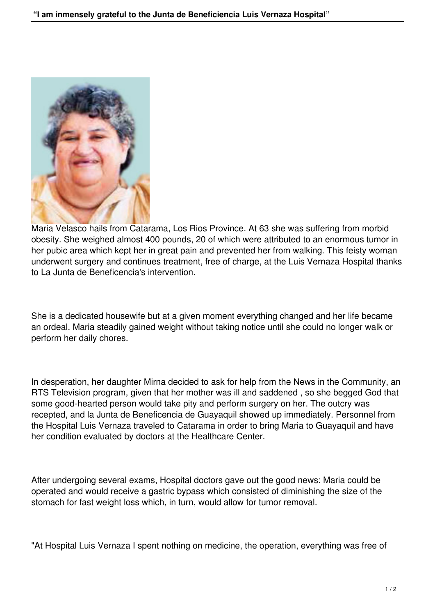

Maria Velasco hails from Catarama, Los Rios Province. At 63 she was suffering from morbid obesity. She weighed almost 400 pounds, 20 of which were attributed to an enormous tumor in her pubic area which kept her in great pain and prevented her from walking. This feisty woman underwent surgery and continues treatment, free of charge, at the Luis Vernaza Hospital thanks to La Junta de Beneficencia's intervention.

She is a dedicated housewife but at a given moment everything changed and her life became an ordeal. Maria steadily gained weight without taking notice until she could no longer walk or perform her daily chores.

In desperation, her daughter Mirna decided to ask for help from the News in the Community, an RTS Television program, given that her mother was ill and saddened , so she begged God that some good-hearted person would take pity and perform surgery on her. The outcry was recepted, and la Junta de Beneficencia de Guayaquil showed up immediately. Personnel from the Hospital Luis Vernaza traveled to Catarama in order to bring Maria to Guayaquil and have her condition evaluated by doctors at the Healthcare Center.

After undergoing several exams, Hospital doctors gave out the good news: Maria could be operated and would receive a gastric bypass which consisted of diminishing the size of the stomach for fast weight loss which, in turn, would allow for tumor removal.

"At Hospital Luis Vernaza I spent nothing on medicine, the operation, everything was free of